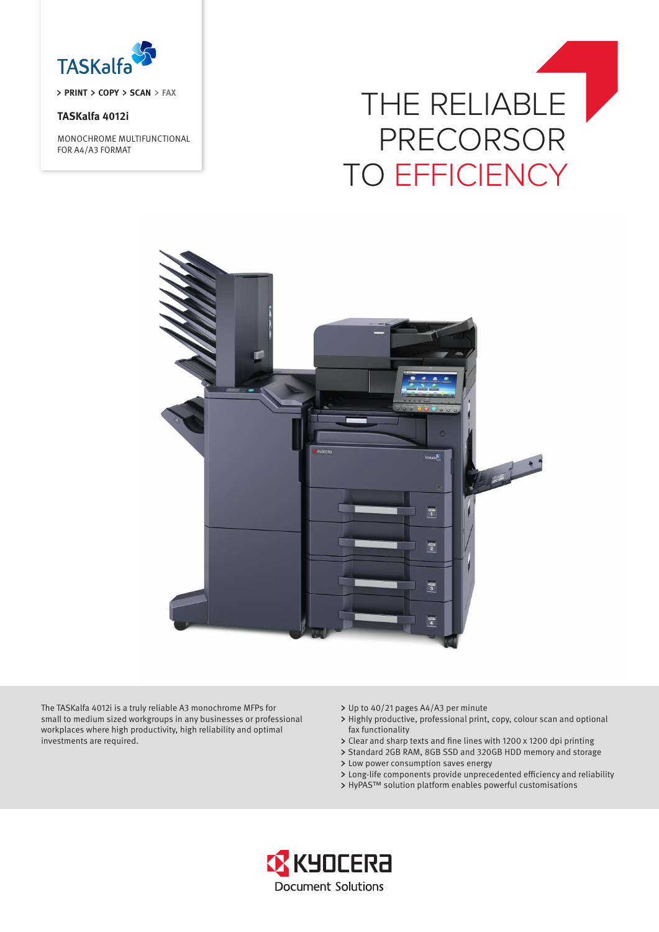

**PRINT > COPY > SCAN > FAX** 

## **TASKalfa 4012i**

MONOCHROME MULTIFUNCTIONAL FOR A4/A3 FORMAT

# THE RELIABLE PRECORSOR TO EFFICIENCY



The TASKalfa 4012i is a truly reliable A3 monochrome MFPs for small to medium sized workgroups in any businesses or professional workplaces where high productivity, high reliability and optimal investments are required.

- Up to 40/21 pages A4/A3 per minute
- Highly productive, professional print, copy, colour scan and optional fax functionality
- Clear and sharp texts and fine lines with 1200 x 1200 dpi printing
- > Standard 2GB RAM, 8GB SSD and 320GB HDD memory and storage
- Low power consumption saves energy
- Long-life components provide unprecedented efficiency and reliability
- > HyPAS™ solution platform enables powerful customisations